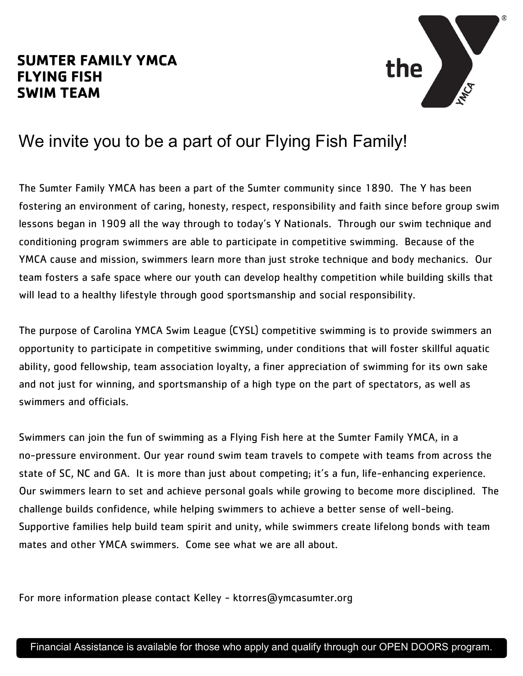## **SUMTER FAMILY YMCA FLYING FISH SWIM TEAM**



## We invite you to be a part of our Flying Fish Family!

The Sumter Family YMCA has been a part of the Sumter community since 1890. The Y has been fostering an environment of caring, honesty, respect, responsibility and faith since before group swim lessons began in 1909 all the way through to today's Y Nationals. Through our swim technique and conditioning program swimmers are able to participate in competitive swimming. Because of the YMCA cause and mission, swimmers learn more than just stroke technique and body mechanics. Our team fosters a safe space where our youth can develop healthy competition while building skills that will lead to a healthy lifestyle through good sportsmanship and social responsibility.

The purpose of Carolina YMCA Swim League (CYSL) competitive swimming is to provide swimmers an opportunity to participate in competitive swimming, under conditions that will foster skillful aquatic ability, good fellowship, team association loyalty, a finer appreciation of swimming for its own sake and not just for winning, and sportsmanship of a high type on the part of spectators, as well as swimmers and officials.

Swimmers can join the fun of swimming as a Flying Fish here at the Sumter Family YMCA, in a no-pressure environment. Our year round swim team travels to compete with teams from across the state of SC, NC and GA. It is more than just about competing; it's a fun, life-enhancing experience. Our swimmers learn to set and achieve personal goals while growing to become more disciplined. The challenge builds confidence, while helping swimmers to achieve a better sense of well-being. Supportive families help build team spirit and unity, while swimmers create lifelong bonds with team mates and other YMCA swimmers. Come see what we are all about.

For more information please contact Kelley - ktorres@ymcasumter.org